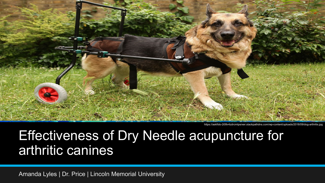

https://askfido-2i09v4zdrcmtpsrxer.stackpathdns.com/wp-content/uploads/2018/09/dog-arthritis.jpg

## Effectiveness of Dry Needle acupuncture for arthritic canines

Amanda Lyles | Dr. Price | Lincoln Memorial University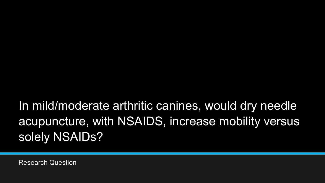## In mild/moderate arthritic canines, would dry needle acupuncture, with NSAIDS, increase mobility versus solely NSAIDs?

Research Question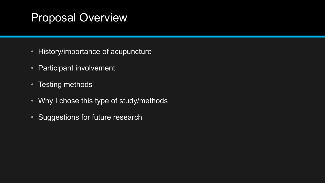## Proposal Overview

- History/importance of acupuncture
- Participant involvement
- Testing methods
- Why I chose this type of study/methods
- Suggestions for future research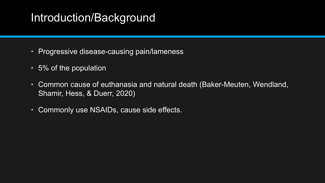## Introduction/Background

- Progressive disease-causing pain/lameness
- 5% of the population
- Common cause of euthanasia and natural death (Baker-Meuten, Wendland, Shamir, Hess, & Duerr, 2020)
- Commonly use NSAIDs, cause side effects.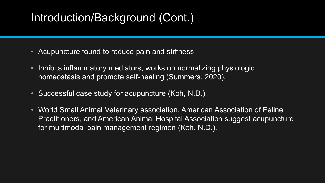## Introduction/Background (Cont.)

- Acupuncture found to reduce pain and stiffness.
- Inhibits inflammatory mediators, works on normalizing physiologic homeostasis and promote self-healing (Summers, 2020).
- Successful case study for acupuncture (Koh, N.D.).
- World Small Animal Veterinary association, American Association of Feline Practitioners, and American Animal Hospital Association suggest acupuncture for multimodal pain management regimen (Koh, N.D.).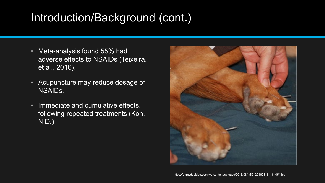## Introduction/Background (cont.)

- Meta-analysis found 55% had adverse effects to NSAIDs (Teixeira, et al., 2016).
- Acupuncture may reduce dosage of NSAIDs.
- Immediate and cumulative effects, following repeated treatments (Koh, N.D.).

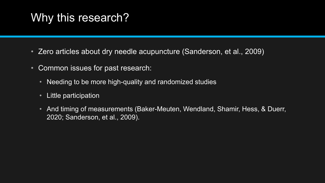## Why this research?

- Zero articles about dry needle acupuncture (Sanderson, et al., 2009)
- Common issues for past research:
	- Needing to be more high-quality and randomized studies
	- Little participation
	- And timing of measurements (Baker-Meuten, Wendland, Shamir, Hess, & Duerr, 2020; Sanderson, et al., 2009).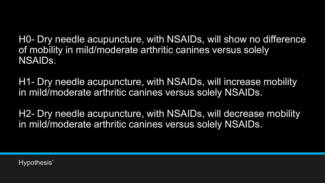H0- Dry needle acupuncture, with NSAIDs, will show no difference of mobility in mild/moderate arthritic canines versus solely NSAIDs.

H1- Dry needle acupuncture, with NSAIDs, will increase mobility in mild/moderate arthritic canines versus solely NSAIDs.

H2- Dry needle acupuncture, with NSAIDs, will decrease mobility in mild/moderate arthritic canines versus solely NSAIDs.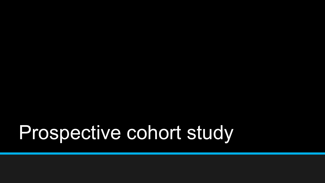# Prospective cohort study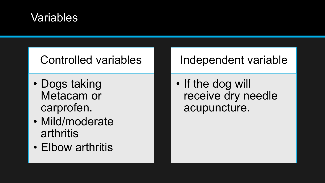#### Variables

#### Controlled variables

- Dogs taking Metacam or carprofen.
- Mild/moderate arthritis
- Elbow arthritis

#### Independent variable

• If the dog will receive dry needle acupuncture.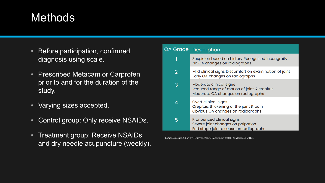## Methods

- Before participation, confirmed diagnosis using scale.
- Prescribed Metacam or Carprofen prior to and for the duration of the study.
- Varying sizes accepted.
- Control group: Only receive NSAIDs.
- Treatment group: Receive NSAIDs and dry needle acupuncture (weekly).

| A Grade | Description                                                                                                  |
|---------|--------------------------------------------------------------------------------------------------------------|
|         | Suspicion based on history Recognised incongruity<br>No OA changes on radiographs                            |
| 2       | Mild clinical signs Discomfort on examination of joint<br>Early OA changes on radiographs                    |
| 3       | Moderate clinical signs<br>Reduced range of motion of joint & crepitus<br>Moderate OA changes on radiographs |
| 4       | Overt clinical signs<br>Crepitus, thickening of the joint & pain<br>Obvious OA changes on radiographs        |
| 5       | Pronounced clinical signs<br>Severe joint changes on palpation<br>End stage joint disease on radiographs     |

Lameness scale (Chart by Nganvongpanit, Boonsri, Sripratak, & Markmee, 2012)

 $\overline{O}$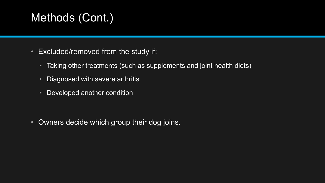## Methods (Cont.)

- Excluded/removed from the study if:
	- Taking other treatments (such as supplements and joint health diets)
	- Diagnosed with severe arthritis
	- Developed another condition

• Owners decide which group their dog joins.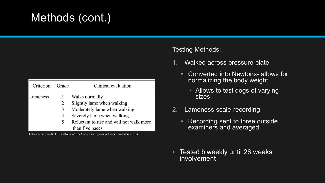## Methods (cont.)

| Criterion | Grade | Clinical evaluation                      |
|-----------|-------|------------------------------------------|
| Lameness  |       | Walks normally                           |
|           | 2     | Slightly lame when walking               |
|           | 3     | Moderately lame when walking             |
|           | 4     | Severely lame when walking               |
|           | 5     | Reluctant to rise and will not walk more |
|           |       | than five paces                          |

Osteoarthritis grade Scale (Chart by 5x5x5 The Management System for Canine Osteoarthritis, n.d.)

#### Testing Methods:

- 1. Walked across pressure plate.
	- Converted into Newtons- allows for normalizing the body weight
		- Allows to test dogs of varying sizes
- 2. Lameness scale-recording
	- Recording sent to three outside examiners and averaged.
- Tested biweekly until 26 weeks involvement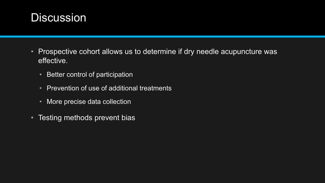#### **Discussion**

- Prospective cohort allows us to determine if dry needle acupuncture was effective.
	- Better control of participation
	- Prevention of use of additional treatments
	- More precise data collection
- Testing methods prevent bias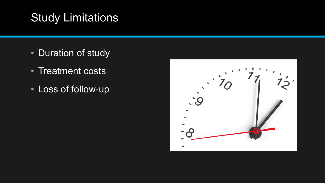## Study Limitations

- Duration of study
- Treatment costs
- Loss of follow-up

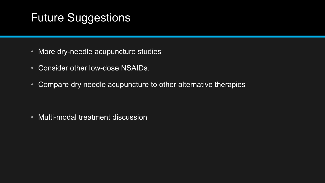## Future Suggestions

- More dry-needle acupuncture studies
- Consider other low-dose NSAIDs.
- Compare dry needle acupuncture to other alternative therapies

• Multi-modal treatment discussion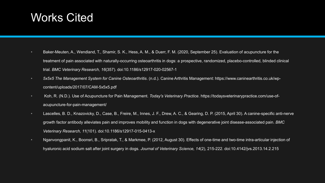#### Works Cited

- Baker-Meuten, A., Wendland, T., Shamir, S. K., Hess, A. M., & Duerr, F. M. (2020, September 25). Evaluation of acupuncture for the treatment of pain associated with naturally-occurring osteoarthritis in dogs: a prospective, randomized, placebo-controlled, blinded clinical trial. *BMC Veterinary Research, 16*(357). doi:10.1186/s12917-020-02567-1
- *5x5x5 The Management System for Canine Osteoarthritis*. (n.d.). Canine Arthritis Management: https://www.caninearthritis.co.uk/wpcontent/uploads/2017/07/CAM-5x5x5.pdf
- Koh, R. (N.D.). Use of Acupuncture for Pain Management. *Today's Veterinary Practice*. https://todaysveterinarypractice.com/use-ofacupuncture-for-pain-management/
- Lascelles, B. D., Knazovicky, D., Case, B., Freire, M., Innes, J. F., Drew, A. C., & Gearing, D. P. (2015, April 30). A canine-specific anti-nerve growth factor antibody alleviates pain and improves mobility and function in dogs with degenerative joint disease-associated pain. *BMC Veterinary Research, 11*(101). doi:10.1186/s12917-015-0413-x
- Nganvongpanit, K., Boonsri, B., Sripratak, T., & Markmee, P. (2012, August 30). Effects of one-time and two-time intra-articular injection of hyaluronic acid sodium salt after joint surgery in dogs. *Journal of Veterinary Science, 14*(2), 215-222. doi:10.4142/jvs.2013.14.2.215